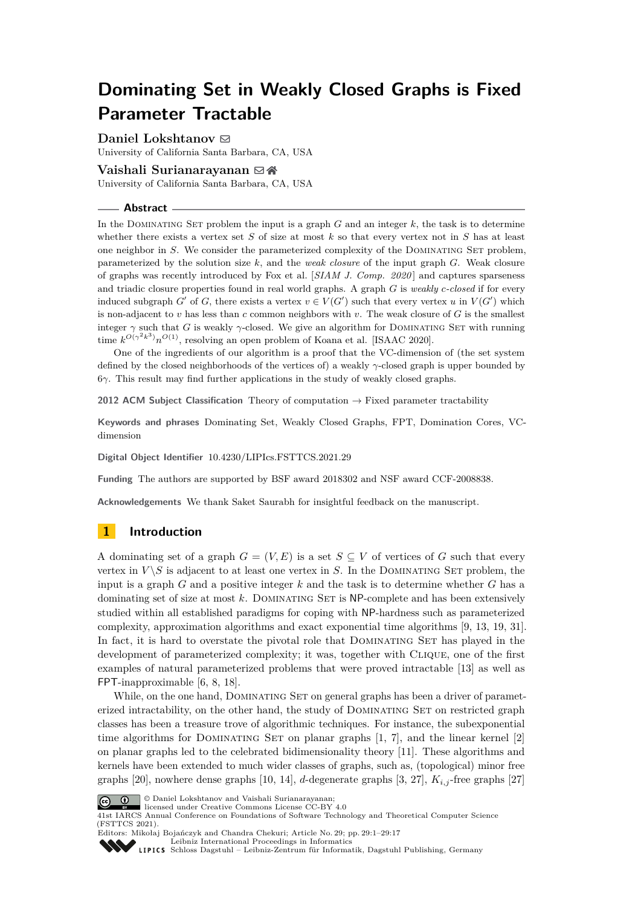# **Dominating Set in Weakly Closed Graphs is Fixed Parameter Tractable**

**Daniel Lokshtanov** ⊠

University of California Santa Barbara, CA, USA

### **Vaishali Surianarayanan** ⊠ A

University of California Santa Barbara, CA, USA

#### **Abstract**

In the DOMINATING SET problem the input is a graph  $G$  and an integer  $k$ , the task is to determine whether there exists a vertex set *S* of size at most *k* so that every vertex not in *S* has at least one neighbor in *S*. We consider the parameterized complexity of the DOMINATING SET problem, parameterized by the solution size *k*, and the *weak closure* of the input graph *G*. Weak closure of graphs was recently introduced by Fox et al. [*SIAM J. Comp. 2020* ] and captures sparseness and triadic closure properties found in real world graphs. A graph *G* is *weakly c-closed* if for every induced subgraph *G*<sup> $\prime$ </sup> of *G*, there exists a vertex  $v \in V(G')$  such that every vertex *u* in  $V(G')$  which is non-adjacent to *v* has less than *c* common neighbors with *v*. The weak closure of *G* is the smallest integer  $\gamma$  such that *G* is weakly  $\gamma$ -closed. We give an algorithm for DOMINATING SET with running time  $k^{O(\gamma^2 k^3)} n^{O(1)}$ , resolving an open problem of Koana et al. [ISAAC 2020].

One of the ingredients of our algorithm is a proof that the VC-dimension of (the set system defined by the closed neighborhoods of the vertices of) a weakly *γ*-closed graph is upper bounded by 6*γ*. This result may find further applications in the study of weakly closed graphs.

**2012 ACM Subject Classification** Theory of computation → Fixed parameter tractability

**Keywords and phrases** Dominating Set, Weakly Closed Graphs, FPT, Domination Cores, VCdimension

**Digital Object Identifier** [10.4230/LIPIcs.FSTTCS.2021.29](https://doi.org/10.4230/LIPIcs.FSTTCS.2021.29)

**Funding** The authors are supported by BSF award 2018302 and NSF award CCF-2008838.

**Acknowledgements** We thank Saket Saurabh for insightful feedback on the manuscript.

# **1 Introduction**

A dominating set of a graph  $G = (V, E)$  is a set  $S \subseteq V$  of vertices of G such that every vertex in  $V \setminus S$  is adjacent to at least one vertex in *S*. In the DOMINATING SET problem, the input is a graph *G* and a positive integer *k* and the task is to determine whether *G* has a dominating set of size at most *k*. Dominating Set is NP-complete and has been extensively studied within all established paradigms for coping with NP-hardness such as parameterized complexity, approximation algorithms and exact exponential time algorithms [\[9,](#page-12-0) [13,](#page-12-1) [19,](#page-12-2) [31\]](#page-13-0). In fact, it is hard to overstate the pivotal role that DOMINATING SET has played in the development of parameterized complexity; it was, together with Clique, one of the first examples of natural parameterized problems that were proved intractable [\[13\]](#page-12-1) as well as FPT-inapproximable [\[6,](#page-12-3) [8,](#page-12-4) [18\]](#page-12-5).

While, on the one hand, DOMINATING SET on general graphs has been a driver of parameterized intractability, on the other hand, the study of Dominating Set on restricted graph classes has been a treasure trove of algorithmic techniques. For instance, the subexponential time algorithms for DOMINATING SET on planar graphs  $[1, 7]$  $[1, 7]$  $[1, 7]$ , and the linear kernel  $[2]$ on planar graphs led to the celebrated bidimensionality theory [\[11\]](#page-12-7). These algorithms and kernels have been extended to much wider classes of graphs, such as, (topological) minor free graphs [\[20\]](#page-13-1), nowhere dense graphs [\[10,](#page-12-8) [14\]](#page-12-9), *d*-degenerate graphs [\[3,](#page-12-10) [27\]](#page-13-2), *Ki,j* -free graphs [\[27\]](#page-13-2)



© Daniel Lokshtanov and Vaishali Surianarayanan; licensed under Creative Commons License CC-BY  $4.0$ 

41st IARCS Annual Conference on Foundations of Software Technology and Theoretical Computer Science (FSTTCS 2021).

Editors: Mikołaj Bojańczyk and Chandra Chekuri; Article No. 29; pp. 29:1–29:17 [Leibniz International Proceedings in Informatics](https://www.dagstuhl.de/lipics/)

[Schloss Dagstuhl – Leibniz-Zentrum für Informatik, Dagstuhl Publishing, Germany](https://www.dagstuhl.de)

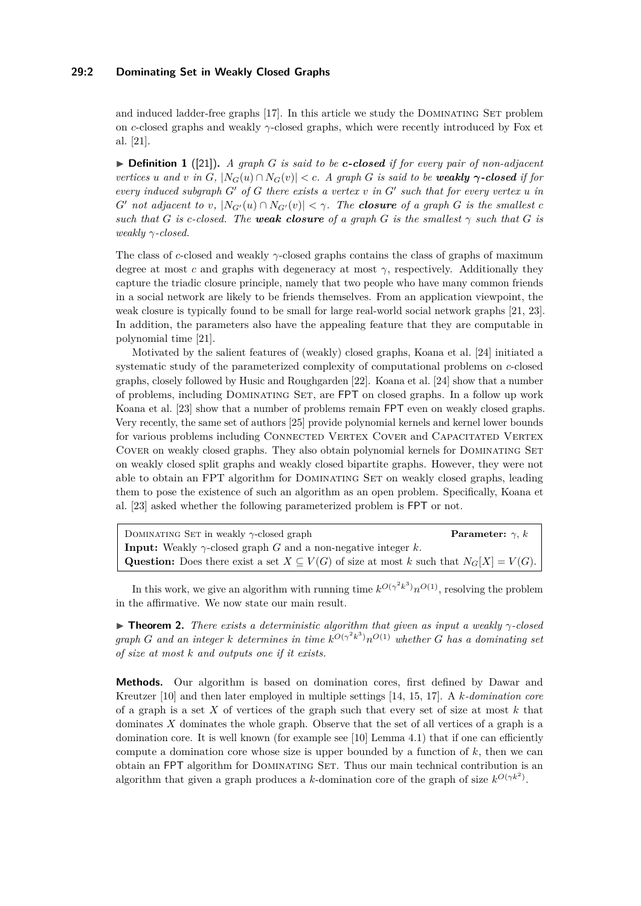### **29:2 Dominating Set in Weakly Closed Graphs**

and induced ladder-free graphs [\[17\]](#page-12-11). In this article we study the DOMINATING SET problem on *c*-closed graphs and weakly *γ*-closed graphs, which were recently introduced by Fox et al. [\[21\]](#page-13-3).

▶ **Definition 1** ([\[21\]](#page-13-3))**.** *A graph G is said to be c-closed if for every pair of non-adjacent* vertices u and v in G,  $|N_G(u) \cap N_G(v)| < c$ . A graph G is said to be weakly  $\gamma$ -closed if for *every induced subgraph G*′ *of G there exists a vertex v in G*′ *such that for every vertex u in G*<sup> $\prime$ </sup> *not adjacent to v*,  $|N_{G'}(u) \cap N_{G'}(v)| < \gamma$ . The **closure** of a graph *G* is the smallest *c such that G is c*-closed. The **weak closure** of a graph *G is the smallest*  $\gamma$  *such that G is weakly γ-closed.*

The class of *c*-closed and weakly *γ*-closed graphs contains the class of graphs of maximum degree at most *c* and graphs with degeneracy at most  $\gamma$ , respectively. Additionally they capture the triadic closure principle, namely that two people who have many common friends in a social network are likely to be friends themselves. From an application viewpoint, the weak closure is typically found to be small for large real-world social network graphs [\[21,](#page-13-3) [23\]](#page-13-4). In addition, the parameters also have the appealing feature that they are computable in polynomial time [\[21\]](#page-13-3).

Motivated by the salient features of (weakly) closed graphs, Koana et al. [\[24\]](#page-13-5) initiated a systematic study of the parameterized complexity of computational problems on *c*-closed graphs, closely followed by Husic and Roughgarden [\[22\]](#page-13-6). Koana et al. [\[24\]](#page-13-5) show that a number of problems, including Dominating Set, are FPT on closed graphs. In a follow up work Koana et al. [\[23\]](#page-13-4) show that a number of problems remain FPT even on weakly closed graphs. Very recently, the same set of authors [\[25\]](#page-13-7) provide polynomial kernels and kernel lower bounds for various problems including CONNECTED VERTEX COVER and CAPACITATED VERTEX COVER on weakly closed graphs. They also obtain polynomial kernels for DOMINATING SET on weakly closed split graphs and weakly closed bipartite graphs. However, they were not able to obtain an FPT algorithm for DOMINATING SET on weakly closed graphs, leading them to pose the existence of such an algorithm as an open problem. Specifically, Koana et al. [\[23\]](#page-13-4) asked whether the following parameterized problem is FPT or not.

| DOMINATING SET in weakly $\gamma$ -closed graph                                                          | <b>Parameter:</b> $\gamma$ , k |
|----------------------------------------------------------------------------------------------------------|--------------------------------|
| <b>Input:</b> Weakly $\gamma$ -closed graph G and a non-negative integer k.                              |                                |
| <b>Question:</b> Does there exist a set $X \subseteq V(G)$ of size at most k such that $N_G[X] = V(G)$ . |                                |

In this work, we give an algorithm with running time  $k^{O(\gamma^2 k^3)} n^{O(1)}$ , resolving the problem in the affirmative. We now state our main result.

<span id="page-1-0"></span>▶ **Theorem 2.** *There exists a deterministic algorithm that given as input a weakly γ-closed graph G* and an integer *k* determines in time  $k^{O(\gamma^2 k^3)} n^{O(1)}$  whether *G* has a dominating set *of size at most k and outputs one if it exists.*

**Methods.** Our algorithm is based on domination cores, first defined by Dawar and Kreutzer [\[10\]](#page-12-8) and then later employed in multiple settings [\[14,](#page-12-9) [15,](#page-12-12) [17\]](#page-12-11). A *k-domination core* of a graph is a set *X* of vertices of the graph such that every set of size at most *k* that dominates *X* dominates the whole graph. Observe that the set of all vertices of a graph is a domination core. It is well known (for example see [\[10\]](#page-12-8) Lemma 4*.*1) that if one can efficiently compute a domination core whose size is upper bounded by a function of *k*, then we can obtain an FPT algorithm for DOMINATING SET. Thus our main technical contribution is an algorithm that given a graph produces a *k*-domination core of the graph of size  $k^{O(\gamma k^2)}$ .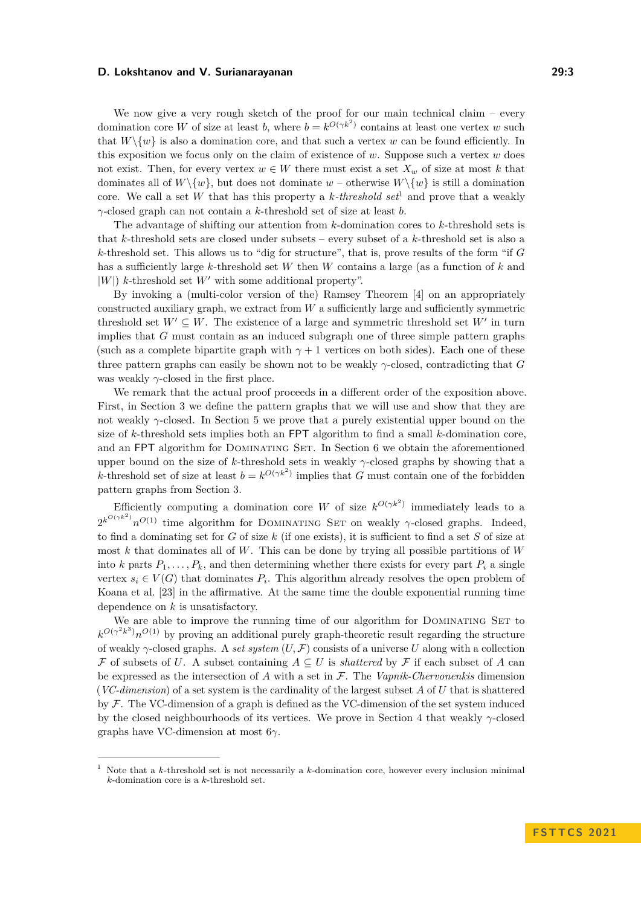We now give a very rough sketch of the proof for our main technical claim – every domination core *W* of size at least *b*, where  $b = k^{O(\gamma k^2)}$  contains at least one vertex *w* such that  $W\setminus\{w\}$  is also a domination core, and that such a vertex *w* can be found efficiently. In this exposition we focus only on the claim of existence of *w*. Suppose such a vertex *w* does not exist. Then, for every vertex  $w \in W$  there must exist a set  $X_w$  of size at most k that dominates all of  $W \setminus \{w\}$ , but does not dominate  $w$  – otherwise  $W \setminus \{w\}$  is still a domination core. We call a set *W* that has this property a *k-threshold set*[1](#page-2-0) and prove that a weakly *γ*-closed graph can not contain a *k*-threshold set of size at least *b*.

The advantage of shifting our attention from *k*-domination cores to *k*-threshold sets is that *k*-threshold sets are closed under subsets – every subset of a *k*-threshold set is also a *k*-threshold set. This allows us to "dig for structure", that is, prove results of the form "if *G* has a sufficiently large *k*-threshold set *W* then *W* contains a large (as a function of *k* and |*W*|) *k*-threshold set *W*′ with some additional property".

By invoking a (multi-color version of the) Ramsey Theorem [\[4\]](#page-12-13) on an appropriately constructed auxiliary graph, we extract from *W* a sufficiently large and sufficiently symmetric threshold set  $W' \subseteq W$ . The existence of a large and symmetric threshold set  $W'$  in turn implies that *G* must contain as an induced subgraph one of three simple pattern graphs (such as a complete bipartite graph with  $\gamma + 1$  vertices on both sides). Each one of these three pattern graphs can easily be shown not to be weakly *γ*-closed, contradicting that *G* was weakly  $\gamma$ -closed in the first place.

We remark that the actual proof proceeds in a different order of the exposition above. First, in Section [3](#page-3-0) we define the pattern graphs that we will use and show that they are not weakly *γ*-closed. In Section [5](#page-6-0) we prove that a purely existential upper bound on the size of *k*-threshold sets implies both an FPT algorithm to find a small *k*-domination core, and an FPT algorithm for DOMINATING SET. In Section [6](#page-8-0) we obtain the aforementioned upper bound on the size of *k*-threshold sets in weakly *γ*-closed graphs by showing that a *k*-threshold set of size at least  $b = k^{O(\gamma k^2)}$  implies that *G* must contain one of the forbidden pattern graphs from Section [3.](#page-3-0)

Efficiently computing a domination core *W* of size  $k^{O(\gamma k^2)}$  immediately leads to a  $2^{k^{O(\gamma k^2)}} n^{O(1)}$  time algorithm for DOMINATING SET on weakly *γ*-closed graphs. Indeed, to find a dominating set for *G* of size *k* (if one exists), it is sufficient to find a set *S* of size at most *k* that dominates all of *W*. This can be done by trying all possible partitions of *W* into *k* parts  $P_1, \ldots, P_k$ , and then determining whether there exists for every part  $P_i$  a single vertex  $s_i \in V(G)$  that dominates  $P_i$ . This algorithm already resolves the open problem of Koana et al. [\[23\]](#page-13-4) in the affirmative. At the same time the double exponential running time dependence on *k* is unsatisfactory.

We are able to improve the running time of our algorithm for DOMINATING SET to  $k^{O(\gamma^2 k^3)} n^{O(1)}$  by proving an additional purely graph-theoretic result regarding the structure of weakly *γ*-closed graphs. A *set system* (*U,* F) consists of a universe *U* along with a collection F of subsets of *U*. A subset containing  $A \subseteq U$  is *shattered* by F if each subset of A can be expressed as the intersection of *A* with a set in F. The *Vapnik-Chervonenkis* dimension (*VC-dimension*) of a set system is the cardinality of the largest subset *A* of *U* that is shattered by  $\mathcal F$ . The VC-dimension of a graph is defined as the VC-dimension of the set system induced by the closed neighbourhoods of its vertices. We prove in Section [4](#page-4-0) that weakly *γ*-closed graphs have VC-dimension at most 6*γ*.

<span id="page-2-1"></span><span id="page-2-0"></span><sup>1</sup> Note that a *k*-threshold set is not necessarily a *k*-domination core, however every inclusion minimal *k*-domination core is a *k*-threshold set.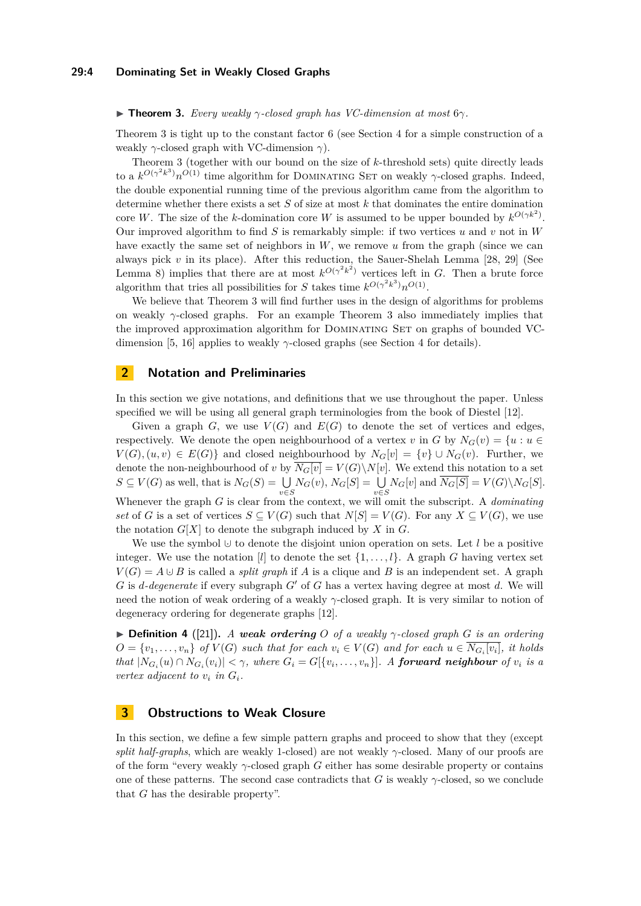#### **29:4 Dominating Set in Weakly Closed Graphs**

#### ▶ **Theorem 3.** *Every weakly γ-closed graph has VC-dimension at most* 6*γ.*

Theorem [3](#page-2-1) is tight up to the constant factor 6 (see Section [4](#page-4-0) for a simple construction of a weakly *γ*-closed graph with VC-dimension *γ*).

Theorem [3](#page-2-1) (together with our bound on the size of *k*-threshold sets) quite directly leads to a  $k^{O(\gamma^2 k^3)} n^{O(1)}$  time algorithm for DOMINATING SET on weakly *γ*-closed graphs. Indeed, the double exponential running time of the previous algorithm came from the algorithm to determine whether there exists a set *S* of size at most *k* that dominates the entire domination core *W*. The size of the *k*-domination core *W* is assumed to be upper bounded by  $k^{O(\gamma k^2)}$ . Our improved algorithm to find *S* is remarkably simple: if two vertices *u* and *v* not in *W* have exactly the same set of neighbors in *W*, we remove *u* from the graph (since we can always pick *v* in its place). After this reduction, the Sauer-Shelah Lemma [\[28,](#page-13-8) [29\]](#page-13-9) (See Lemma [8\)](#page-5-0) implies that there are at most  $k^{O(\gamma^2 k^2)}$  vertices left in *G*. Then a brute force algorithm that tries all possibilities for *S* takes time  $k^{O(\gamma^2 k^3)} n^{O(1)}$ .

We believe that Theorem [3](#page-2-1) will find further uses in the design of algorithms for problems on weakly  $\gamma$ -closed graphs. For an example Theorem [3](#page-2-1) also immediately implies that the improved approximation algorithm for DOMINATING SET on graphs of bounded VC-dimension [\[5,](#page-12-14) [16\]](#page-12-15) applies to weakly  $\gamma$ -closed graphs (see Section [4](#page-4-0) for details).

### **2 Notation and Preliminaries**

In this section we give notations, and definitions that we use throughout the paper. Unless specified we will be using all general graph terminologies from the book of Diestel [\[12\]](#page-12-16).

Given a graph  $G$ , we use  $V(G)$  and  $E(G)$  to denote the set of vertices and edges, respectively. We denote the open neighbourhood of a vertex *v* in *G* by  $N_G(v) = \{u : u \in$  $V(G)$ ,  $(u, v) \in E(G)$  and closed neighbourhood by  $N_G[v] = \{v\} \cup N_G(v)$ . Further, we denote the non-neighbourhood of *v* by  $\overline{N_G[v]} = V(G) \backslash N[v]$ . We extend this notation to a set  $S \subseteq V(G)$  as well, that is  $N_G(S) = \bigcup_{v \in S} N_G(v)$ ,  $N_G[S] = \bigcup_{v \in S} N_G[v]$  and  $N_G[S] = V(G) \setminus N_G[S]$ . Whenever the graph *G* is clear from the context, we will omit the subscript. A *dominating set* of *G* is a set of vertices  $S \subseteq V(G)$  such that  $N[S] = V(G)$ . For any  $X \subseteq V(G)$ , we use the notation  $G[X]$  to denote the subgraph induced by  $X$  in  $G$ .

We use the symbol ∪· to denote the disjoint union operation on sets. Let *l* be a positive integer. We use the notation [*l*] to denote the set  $\{1, \ldots, l\}$ . A graph *G* having vertex set  $V(G) = A \cup B$  is called a *split graph* if *A* is a clique and *B* is an independent set. A graph *G* is *d-degenerate* if every subgraph *G*′ of *G* has a vertex having degree at most *d*. We will need the notion of weak ordering of a weakly *γ*-closed graph. It is very similar to notion of degeneracy ordering for degenerate graphs [\[12\]](#page-12-16).

 $\triangleright$  **Definition 4** ([\[21\]](#page-13-3)). *A* weak ordering *O* of a weakly  $\gamma$ -closed graph *G* is an ordering  $O = \{v_1, \ldots, v_n\}$  of  $V(G)$  such that for each  $v_i \in V(G)$  and for each  $u \in N_{G_i}[v_i]$ , it holds that  $|N_{G_i}(u) \cap N_{G_i}(v_i)| < \gamma$ , where  $G_i = G[\{v_i, \ldots, v_n\}]$ . A **forward neighbour** of  $v_i$  is a *vertex adjacent to*  $v_i$  *in*  $G_i$ *.* 

# <span id="page-3-0"></span>**3 Obstructions to Weak Closure**

<span id="page-3-1"></span>In this section, we define a few simple pattern graphs and proceed to show that they (except *split half-graphs*, which are weakly 1-closed) are not weakly *γ*-closed. Many of our proofs are of the form "every weakly *γ*-closed graph *G* either has some desirable property or contains one of these patterns. The second case contradicts that *G* is weakly *γ*-closed, so we conclude that *G* has the desirable property".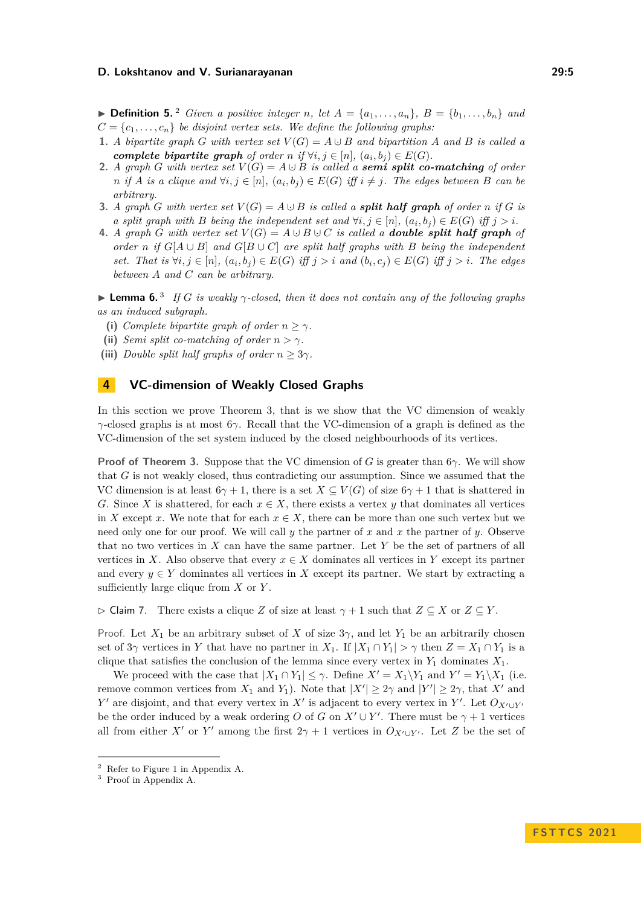▶ **Definition 5.** <sup>[2](#page-4-1)</sup> *Given a positive integer n, let*  $A = \{a_1, \ldots, a_n\}$ ,  $B = \{b_1, \ldots, b_n\}$  *and*  $C = \{c_1, \ldots, c_n\}$  *be disjoint vertex sets. We define the following graphs:* 

- **1.** *A bipartite graph G* with vertex set  $V(G) = A \cup B$  and bipartition *A* and *B* is called a *complete bipartite graph of order n if*  $\forall i, j \in [n]$ ,  $(a_i, b_j) \in E(G)$ *.*
- **2.** *A graph G with vertex set*  $V(G) = A \cup B$  *is called a semi split co-matching of order* n if A is a clique and  $\forall i, j \in [n]$ ,  $(a_i, b_j) \in E(G)$  iff  $i \neq j$ . The edges between B can be *arbitrary.*
- **3.** *A graph G with vertex set*  $V(G) = A \cup B$  *is called a <i>split half graph* of order *n if G is a split graph with B being the independent set and*  $\forall i, j \in [n]$ ,  $(a_i, b_j) \in E(G)$  *iff*  $j > i$ .
- **4.** *A graph G* with vertex set  $V(G) = A \cup B \cup C$  is called a **double split half graph** of *order n if*  $G[A \cup B]$  *and*  $G[B \cup C]$  *are split half graphs with B being the independent* set. That is  $\forall i, j \in [n]$ ,  $(a_i, b_j) \in E(G)$  iff  $j > i$  and  $(b_i, c_j) \in E(G)$  iff  $j > i$ . The edges *between A and C can be arbitrary.*

<span id="page-4-4"></span>**Lemma 6.**<sup>[3](#page-4-2)</sup> If *G* is weakly  $\gamma$ -closed, then it does not contain any of the following graphs *as an induced subgraph.*

- **(i)** *Complete bipartite graph of order*  $n > \gamma$ *.*
- **(ii)** *Semi split co-matching of order*  $n > \gamma$ *.*
- (iii) *Double split half graphs of order*  $n > 3\gamma$ *.*

### <span id="page-4-0"></span>**4 VC-dimension of Weakly Closed Graphs**

In this section we prove Theorem [3,](#page-2-1) that is we show that the VC dimension of weakly *γ*-closed graphs is at most 6*γ*. Recall that the VC-dimension of a graph is defined as the VC-dimension of the set system induced by the closed neighbourhoods of its vertices.

**Proof of Theorem [3.](#page-2-1)** Suppose that the VC dimension of *G* is greater than 6*γ*. We will show that *G* is not weakly closed, thus contradicting our assumption. Since we assumed that the VC dimension is at least  $6\gamma + 1$ , there is a set  $X \subseteq V(G)$  of size  $6\gamma + 1$  that is shattered in *G*. Since *X* is shattered, for each  $x \in X$ , there exists a vertex *y* that dominates all vertices in *X* except *x*. We note that for each  $x \in X$ , there can be more than one such vertex but we need only one for our proof. We will call *y* the partner of *x* and *x* the partner of *y*. Observe that no two vertices in *X* can have the same partner. Let *Y* be the set of partners of all vertices in *X*. Also observe that every  $x \in X$  dominates all vertices in *Y* except its partner and every  $y \in Y$  dominates all vertices in X except its partner. We start by extracting a sufficiently large clique from *X* or *Y* .

<span id="page-4-3"></span>▷ Claim 7. There exists a clique *Z* of size at least *γ* + 1 such that *Z* ⊆ *X* or *Z* ⊆ *Y* .

Proof. Let  $X_1$  be an arbitrary subset of X of size  $3\gamma$ , and let  $Y_1$  be an arbitrarily chosen set of  $3\gamma$  vertices in *Y* that have no partner in *X*<sub>1</sub>. If  $|X_1 \cap Y_1| > \gamma$  then  $Z = X_1 \cap Y_1$  is a clique that satisfies the conclusion of the lemma since every vertex in *Y*<sup>1</sup> dominates *X*1.

We proceed with the case that  $|X_1 \cap Y_1| \leq \gamma$ . Define  $X' = X_1 \backslash Y_1$  and  $Y' = Y_1 \backslash X_1$  (i.e. remove common vertices from  $X_1$  and  $Y_1$ ). Note that  $|X'| \geq 2\gamma$  and  $|Y'| \geq 2\gamma$ , that  $X'$  and *Y*<sup>'</sup> are disjoint, and that every vertex in *X*<sup>'</sup> is adjacent to every vertex in *Y*<sup>'</sup>. Let  $O_{X' \cup Y'}$ be the order induced by a weak ordering *O* of *G* on  $X' \cup Y'$ . There must be  $\gamma + 1$  vertices all from either *X'* or *Y'* among the first  $2\gamma + 1$  vertices in  $O_{X' \cup Y'}$ . Let *Z* be the set of

<span id="page-4-1"></span><sup>2</sup> Refer to Figure [1](#page-14-0) in Appendix [A.](#page-13-10)

<span id="page-4-2"></span><sup>3</sup> Proof in Appendix [A.](#page-13-10)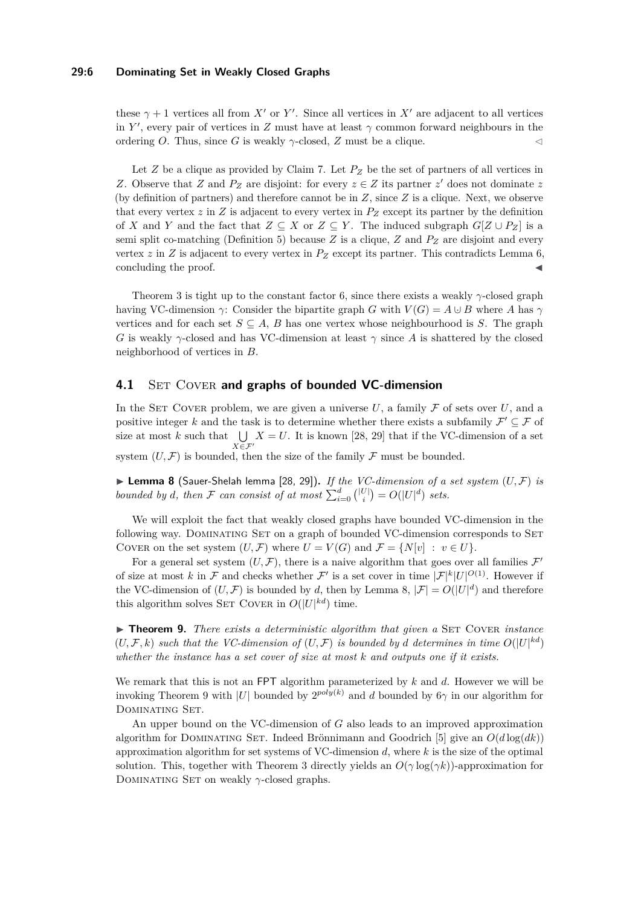### **29:6 Dominating Set in Weakly Closed Graphs**

these  $\gamma + 1$  vertices all from X' or Y'. Since all vertices in X' are adjacent to all vertices in *Y'*, every pair of vertices in *Z* must have at least  $\gamma$  common forward neighbours in the ordering *O*. Thus, since *G* is weakly  $\gamma$ -closed, *Z* must be a clique.

Let *Z* be a clique as provided by Claim [7.](#page-4-3) Let *P<sup>Z</sup>* be the set of partners of all vertices in *Z*. Observe that *Z* and  $P_Z$  are disjoint: for every  $z \in Z$  its partner  $z'$  does not dominate *z* (by definition of partners) and therefore cannot be in *Z*, since *Z* is a clique. Next, we observe that every vertex  $z$  in  $Z$  is adjacent to every vertex in  $P_Z$  except its partner by the definition of *X* and *Y* and the fact that  $Z \subseteq X$  or  $Z \subseteq Y$ . The induced subgraph  $G[Z \cup P_Z]$  is a semi split co-matching (Definition [5\)](#page-3-1) because *Z* is a clique, *Z* and *P<sup>Z</sup>* are disjoint and every vertex  $z$  in  $Z$  is adjacent to every vertex in  $P_Z$  except its partner. This contradicts Lemma [6,](#page-4-4) concluding the proof.

Theorem [3](#page-2-1) is tight up to the constant factor 6, since there exists a weakly *γ*-closed graph having VC-dimension *γ*: Consider the bipartite graph *G* with  $V(G) = A \cup B$  where *A* has *γ* vertices and for each set  $S \subseteq A$ , *B* has one vertex whose neighbourhood is *S*. The graph *G* is weakly *γ*-closed and has VC-dimension at least *γ* since *A* is shattered by the closed neighborhood of vertices in *B*.

## **4.1** SET COVER and graphs of bounded VC-dimension

In the SET COVER problem, we are given a universe  $U$ , a family  $\mathcal F$  of sets over  $U$ , and a positive integer k and the task is to determine whether there exists a subfamily  $\mathcal{F}' \subseteq \mathcal{F}$  of size at most  $k$  such that  $\bigcup$ *X*∈F′  $X = U$ . It is known [\[28,](#page-13-8) [29\]](#page-13-9) that if the VC-dimension of a set system  $(U, \mathcal{F})$  is bounded, then the size of the family  $\mathcal F$  must be bounded.

<span id="page-5-0"></span>▶ **Lemma 8** (Sauer-Shelah lemma [\[28,](#page-13-8) [29\]](#page-13-9))**.** *If the VC-dimension of a set system* (*U,* F) *is bounded by d, then*  $\mathcal F$  *can consist of at most*  $\sum_{i=0}^d \binom{|U|}{i} = O(|U|^d)$  *sets.* 

We will exploit the fact that weakly closed graphs have bounded VC-dimension in the following way. DOMINATING SET on a graph of bounded VC-dimension corresponds to SET COVER on the set system  $(U, \mathcal{F})$  where  $U = V(G)$  and  $\mathcal{F} = \{N[v] : v \in U\}.$ 

For a general set system  $(U, \mathcal{F})$ , there is a naive algorithm that goes over all families  $\mathcal{F}'$ of size at most k in F and checks whether  $\mathcal{F}'$  is a set cover in time  $|\mathcal{F}|^k |U|^{O(1)}$ . However if the VC-dimension of  $(U, \mathcal{F})$  is bounded by *d*, then by Lemma [8,](#page-5-0)  $|\mathcal{F}| = O(|U|^d)$  and therefore this algorithm solves SET COVER in  $O(|U|^{kd})$  time.

<span id="page-5-1"></span>▶ **Theorem 9.** *There exists a deterministic algorithm that given a* SET COVER *instance*  $(U, \mathcal{F}, k)$  *such that the VC-dimension of*  $(U, \mathcal{F})$  *is bounded by d determines in time*  $O(|U|^{kd})$ *whether the instance has a set cover of size at most k and outputs one if it exists.*

We remark that this is not an FPT algorithm parameterized by *k* and *d*. However we will be invoking Theorem [9](#page-5-1) with |*U*| bounded by  $2^{poly(k)}$  and *d* bounded by  $6\gamma$  in our algorithm for Dominating Set.

An upper bound on the VC-dimension of *G* also leads to an improved approximation algorithm for DOMINATING SET. Indeed Brönnimann and Goodrich [\[5\]](#page-12-14) give an  $O(d \log(dk))$ approximation algorithm for set systems of VC-dimension *d*, where *k* is the size of the optimal solution. This, together with Theorem [3](#page-2-1) directly yields an  $O(\gamma \log(\gamma k))$ -approximation for DOMINATING SET on weakly *γ*-closed graphs.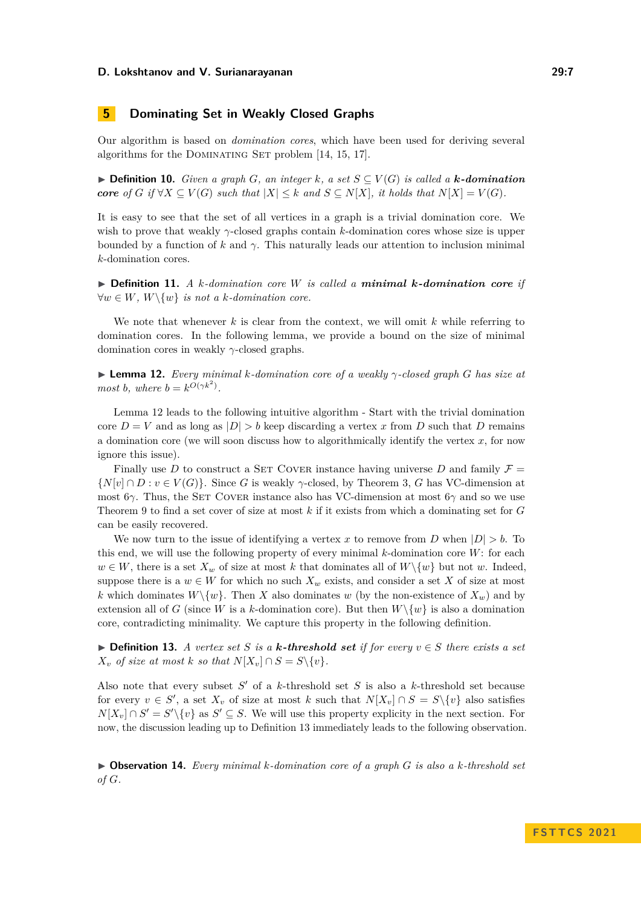# <span id="page-6-0"></span>**5 Dominating Set in Weakly Closed Graphs**

Our algorithm is based on *domination cores*, which have been used for deriving several algorithms for the DOMINATING SET problem [\[14,](#page-12-9) [15,](#page-12-12) [17\]](#page-12-11).

▶ **Definition 10.** *Given a graph G*, an integer *k*, a set  $S ⊆ V(G)$  is called a *k*-domination *core of G* if  $\forall X \subseteq V(G)$  *such that*  $|X| \leq k$  *and*  $S \subseteq N[X]$ *, it holds that*  $N[X] = V(G)$ *.* 

It is easy to see that the set of all vertices in a graph is a trivial domination core. We wish to prove that weakly *γ*-closed graphs contain *k*-domination cores whose size is upper bounded by a function of  $k$  and  $\gamma$ . This naturally leads our attention to inclusion minimal *k*-domination cores.

▶ **Definition 11.** *A k-domination core W is called a minimal k-domination core if*  $∀w ∈ W, W\{w\}$  *is not a k-domination core.* 

We note that whenever *k* is clear from the context, we will omit *k* while referring to domination cores. In the following lemma, we provide a bound on the size of minimal domination cores in weakly *γ*-closed graphs.

<span id="page-6-1"></span>▶ **Lemma 12.** *Every minimal k-domination core of a weakly γ-closed graph G has size at most b*, where  $b = k^{O(\gamma k^2)}$ .

Lemma [12](#page-6-1) leads to the following intuitive algorithm - Start with the trivial domination core  $D = V$  and as long as  $|D| > b$  keep discarding a vertex x from D such that D remains a domination core (we will soon discuss how to algorithmically identify the vertex *x*, for now ignore this issue).

Finally use *D* to construct a SET COVER instance having universe *D* and family  $\mathcal{F} =$  $\{N[v] \cap D : v \in V(G)\}$ . Since *G* is weakly *γ*-closed, by Theorem [3,](#page-2-1) *G* has VC-dimension at most 6*γ*. Thus, the Set Cover instance also has VC-dimension at most 6*γ* and so we use Theorem [9](#page-5-1) to find a set cover of size at most *k* if it exists from which a dominating set for *G* can be easily recovered.

We now turn to the issue of identifying a vertex x to remove from  $D$  when  $|D| > b$ . To this end, we will use the following property of every minimal *k*-domination core *W*: for each  $w \in W$ , there is a set  $X_w$  of size at most k that dominates all of  $W \setminus \{w\}$  but not w. Indeed, suppose there is a  $w \in W$  for which no such  $X_w$  exists, and consider a set X of size at most *k* which dominates  $W\setminus\{w\}$ . Then *X* also dominates *w* (by the non-existence of  $X_w$ ) and by extension all of *G* (since *W* is a *k*-domination core). But then  $W\setminus\{w\}$  is also a domination core, contradicting minimality. We capture this property in the following definition.

<span id="page-6-2"></span>▶ **Definition 13.** *A vertex set S is a k-threshold set if for every*  $v \in S$  *there exists a set*  $X_v$  *of size at most k so that*  $N[X_v] \cap S = S \setminus \{v\}$ *.* 

Also note that every subset  $S'$  of a  $k$ -threshold set  $S$  is also a  $k$ -threshold set because for every  $v \in S'$ , a set  $X_v$  of size at most k such that  $N[X_v] \cap S = S \setminus \{v\}$  also satisfies  $N[X_v] \cap S' = S' \setminus \{v\}$  as  $S' \subseteq S$ . We will use this property explicity in the next section. For now, the discussion leading up to Definition [13](#page-6-2) immediately leads to the following observation.

▶ **Observation 14.** *Every minimal k-domination core of a graph G is also a k-threshold set of G.*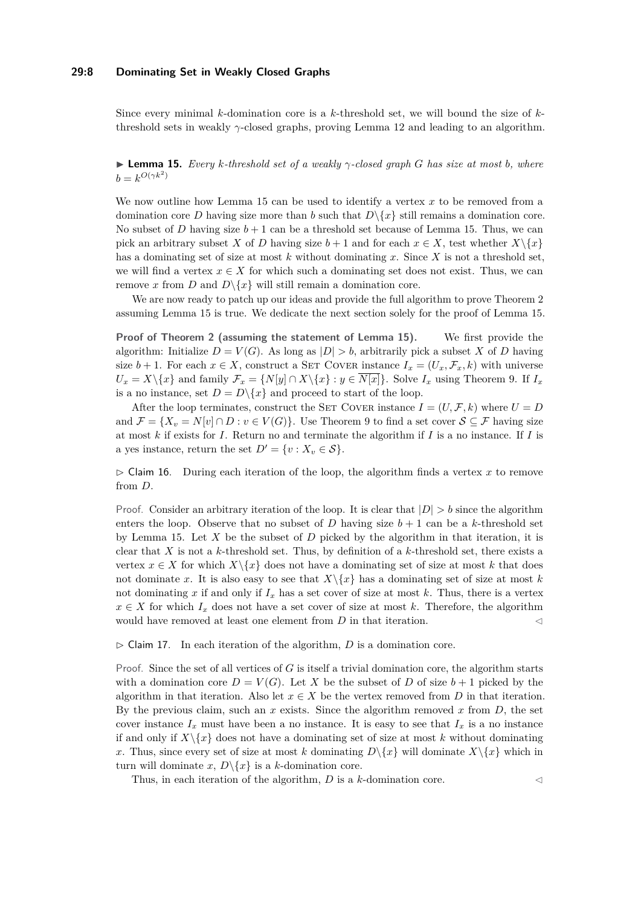### **29:8 Dominating Set in Weakly Closed Graphs**

Since every minimal *k*-domination core is a *k*-threshold set, we will bound the size of *k*threshold sets in weakly *γ*-closed graphs, proving Lemma [12](#page-6-1) and leading to an algorithm.

<span id="page-7-0"></span>▶ **Lemma 15.** *Every k-threshold set of a weakly γ-closed graph G has size at most b, where*  $b = k^{O(\gamma k^2)}$ 

We now outline how Lemma [15](#page-7-0) can be used to identify a vertex *x* to be removed from a domination core *D* having size more than *b* such that  $D\{x\}$  still remains a domination core. No subset of *D* having size  $b + 1$  can be a threshold set because of Lemma [15.](#page-7-0) Thus, we can pick an arbitrary subset *X* of *D* having size  $b+1$  and for each  $x \in X$ , test whether  $X \setminus \{x\}$ has a dominating set of size at most *k* without dominating *x*. Since *X* is not a threshold set, we will find a vertex  $x \in X$  for which such a dominating set does not exist. Thus, we can remove x from D and  $D\backslash\{x\}$  will still remain a domination core.

We are now ready to patch up our ideas and provide the full algorithm to prove Theorem [2](#page-1-0) assuming Lemma [15](#page-7-0) is true. We dedicate the next section solely for the proof of Lemma [15.](#page-7-0)

**Proof of Theorem [2](#page-1-0) (assuming the statement of Lemma [15\)](#page-7-0).** We first provide the algorithm: Initialize  $D = V(G)$ . As long as  $|D| > b$ , arbitrarily pick a subset *X* of *D* having size  $b + 1$ . For each  $x \in X$ , construct a SET COVER instance  $I_x = (U_x, \mathcal{F}_x, k)$  with universe  $U_x = X \setminus \{x\}$  and family  $\mathcal{F}_x = \{N[y] \cap X \setminus \{x\} : y \in N[x]\}$ . Solve  $I_x$  using Theorem [9.](#page-5-1) If  $I_x$ is a no instance, set  $D = D\backslash\{x\}$  and proceed to start of the loop.

After the loop terminates, construct the SET COVER instance  $I = (U, \mathcal{F}, k)$  where  $U = D$ and  $\mathcal{F} = \{X_v = N[v] \cap D : v \in V(G)\}\$ . Use Theorem [9](#page-5-1) to find a set cover  $\mathcal{S} \subseteq \mathcal{F}$  having size at most *k* if exists for *I*. Return no and terminate the algorithm if *I* is a no instance. If *I* is a yes instance, return the set  $D' = \{v : X_v \in \mathcal{S}\}.$ 

 $\triangleright$  Claim 16. During each iteration of the loop, the algorithm finds a vertex x to remove from *D*.

Proof. Consider an arbitrary iteration of the loop. It is clear that  $|D| > b$  since the algorithm enters the loop. Observe that no subset of *D* having size  $b + 1$  can be a *k*-threshold set by Lemma [15.](#page-7-0) Let *X* be the subset of *D* picked by the algorithm in that iteration, it is clear that *X* is not a *k*-threshold set. Thus, by definition of a *k*-threshold set, there exists a vertex  $x \in X$  for which  $X \setminus \{x\}$  does not have a dominating set of size at most k that does not dominate *x*. It is also easy to see that  $X\{x\}$  has a dominating set of size at most *k* not dominating  $x$  if and only if  $I_x$  has a set cover of size at most  $k$ . Thus, there is a vertex  $x \in X$  for which  $I_x$  does not have a set cover of size at most k. Therefore, the algorithm would have removed at least one element from *D* in that iteration.

 $\triangleright$  Claim 17. In each iteration of the algorithm, *D* is a domination core.

Proof. Since the set of all vertices of *G* is itself a trivial domination core, the algorithm starts with a domination core  $D = V(G)$ . Let X be the subset of D of size  $b+1$  picked by the algorithm in that iteration. Also let  $x \in X$  be the vertex removed from *D* in that iteration. By the previous claim, such an *x* exists. Since the algorithm removed *x* from *D*, the set cover instance  $I_x$  must have been a no instance. It is easy to see that  $I_x$  is a no instance if and only if  $X\setminus\{x\}$  does not have a dominating set of size at most k without dominating *x*. Thus, since every set of size at most *k* dominating  $D\{\{x\}$  will dominate  $X\{\{x\}$  which in turn will dominate x,  $D \setminus \{x\}$  is a *k*-domination core.

Thus, in each iteration of the algorithm,  $D$  is a  $k$ -domination core.  $\triangleleft$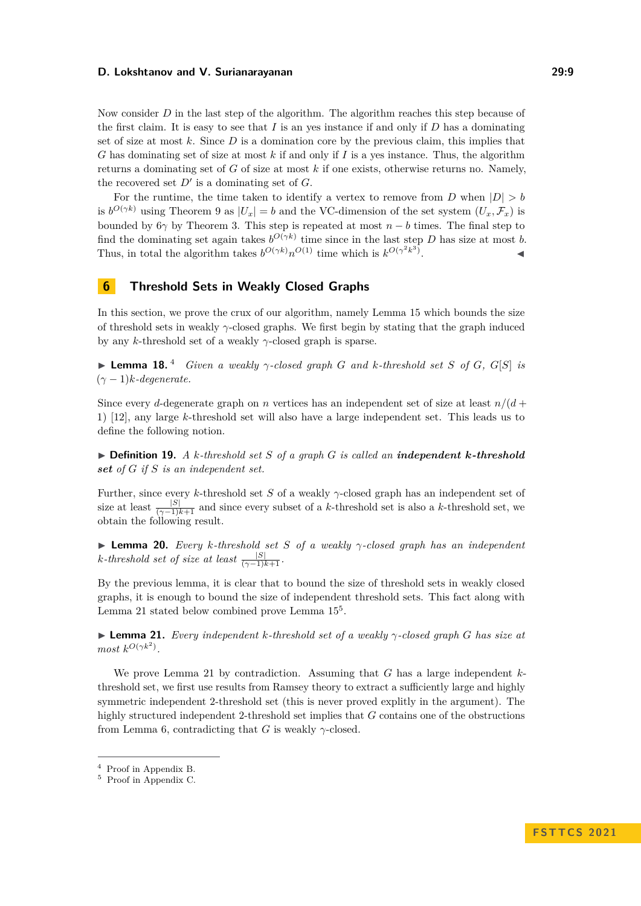Now consider *D* in the last step of the algorithm. The algorithm reaches this step because of the first claim. It is easy to see that *I* is an yes instance if and only if *D* has a dominating set of size at most *k*. Since *D* is a domination core by the previous claim, this implies that *G* has dominating set of size at most *k* if and only if *I* is a yes instance. Thus, the algorithm returns a dominating set of *G* of size at most *k* if one exists, otherwise returns no. Namely, the recovered set  $D'$  is a dominating set of  $G$ .

For the runtime, the time taken to identify a vertex to remove from *D* when  $|D| > b$ is  $b^{O(\gamma k)}$  using Theorem [9](#page-5-1) as  $|U_x| = b$  and the VC-dimension of the set system  $(U_x, \mathcal{F}_x)$  is bounded by 6 $\gamma$  by Theorem [3.](#page-2-1) This step is repeated at most  $n - b$  times. The final step to find the dominating set again takes  $b^{O(\gamma k)}$  time since in the last step *D* has size at most *b*. Thus, in total the algorithm takes  $b^{O(\gamma k)}n^{O(1)}$  time which is  $k^{O(\gamma^2 k^3)}$ . ↓ ↓ ↓ ↓ ↓ ↓ ↓

# <span id="page-8-0"></span>**6 Threshold Sets in Weakly Closed Graphs**

In this section, we prove the crux of our algorithm, namely Lemma [15](#page-7-0) which bounds the size of threshold sets in weakly *γ*-closed graphs. We first begin by stating that the graph induced by any *k*-threshold set of a weakly *γ*-closed graph is sparse.

<span id="page-8-4"></span> $\blacktriangleright$  **Lemma 18.** [4](#page-8-1) *Given a weakly*  $\gamma$ -closed graph *G* and *k*-threshold set *S* of *G*, *G*[*S*] *is*  $(\gamma - 1)k$ *-degenerate.* 

Since every *d*-degenerate graph on *n* vertices has an independent set of size at least  $n/(d +$ 1) [\[12\]](#page-12-16), any large *k*-threshold set will also have a large independent set. This leads us to define the following notion.

▶ **Definition 19.** *A k-threshold set S of a graph G is called an independent k-threshold set of G if S is an independent set.*

Further, since every *k*-threshold set *S* of a weakly *γ*-closed graph has an independent set of size at least  $\frac{|S|}{(\gamma-1)k+1}$  and since every subset of a *k*-threshold set is also a *k*-threshold set, we obtain the following result.

<span id="page-8-5"></span>▶ **Lemma 20.** *Every k-threshold set S of a weakly γ-closed graph has an independent*  $k$ *-threshold set of size at least*  $\frac{|S|}{(\gamma - 1)k + 1}$ *.* 

By the previous lemma, it is clear that to bound the size of threshold sets in weakly closed graphs, it is enough to bound the size of independent threshold sets. This fact along with Lemma [21](#page-8-2) stated below combined prove Lemma  $15^5$  $15^5$  $15^5$ .

<span id="page-8-2"></span>▶ **Lemma 21.** *Every independent k-threshold set of a weakly γ-closed graph G has size at most*  $k^{O(\gamma k^2)}$ .

We prove Lemma [21](#page-8-2) by contradiction. Assuming that *G* has a large independent *k*threshold set, we first use results from Ramsey theory to extract a sufficiently large and highly symmetric independent 2-threshold set (this is never proved explitly in the argument). The highly structured independent 2-threshold set implies that *G* contains one of the obstructions from Lemma [6,](#page-4-4) contradicting that *G* is weakly  $\gamma$ -closed.

<span id="page-8-1"></span><sup>4</sup> Proof in Appendix [B.](#page-15-0)

<span id="page-8-3"></span><sup>5</sup> Proof in Appendix [C.](#page-15-1)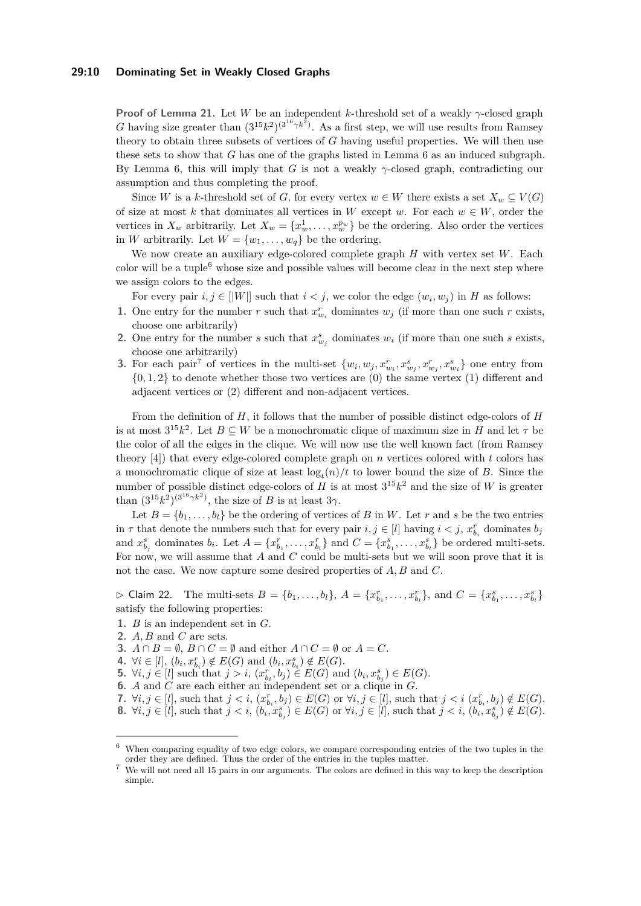### **29:10 Dominating Set in Weakly Closed Graphs**

**Proof of Lemma [21.](#page-8-2)** Let *W* be an independent *k*-threshold set of a weakly *γ*-closed graph *G* having size greater than  $(3^{15}k^2)^{(3^{16}\gamma k^2)}$ . As a first step, we will use results from Ramsey theory to obtain three subsets of vertices of *G* having useful properties. We will then use these sets to show that *G* has one of the graphs listed in Lemma [6](#page-4-4) as an induced subgraph. By Lemma [6,](#page-4-4) this will imply that *G* is not a weakly  $\gamma$ -closed graph, contradicting our assumption and thus completing the proof.

Since *W* is a *k*-threshold set of *G*, for every vertex  $w \in W$  there exists a set  $X_w \subseteq V(G)$ of size at most *k* that dominates all vertices in *W* except *w*. For each  $w \in W$ , order the vertices in  $X_w$  arbitrarily. Let  $X_w = \{x_w^1, \ldots, x_w^{p_w}\}\)$  be the ordering. Also order the vertices in *W* arbitrarily. Let  $W = \{w_1, \ldots, w_q\}$  be the ordering.

We now create an auxiliary edge-colored complete graph *H* with vertex set *W*. Each color will be a tuple<sup>[6](#page-9-0)</sup> whose size and possible values will become clear in the next step where we assign colors to the edges.

- For every pair  $i, j \in [|W|]$  such that  $i < j$ , we color the edge  $(w_i, w_j)$  in *H* as follows:
- **1.** One entry for the number *r* such that  $x_{w_i}^r$  dominates  $w_j$  (if more than one such *r* exists, choose one arbitrarily)
- **2.** One entry for the number *s* such that  $x_{w_j}^s$  dominates  $w_i$  (if more than one such *s* exists, choose one arbitrarily)
- **3.** For each pair<sup>[7](#page-9-1)</sup> of vertices in the multi-set  $\{w_i, w_j, x_{w_i}^r, x_{w_j}^s, x_{w_j}^r, x_{w_i}^s\}$  one entry from  $\{0, 1, 2\}$  to denote whether those two vertices are  $(0)$  the same vertex  $(1)$  different and adjacent vertices or (2) different and non-adjacent vertices.

From the definition of *H*, it follows that the number of possible distinct edge-colors of *H* is at most  $3^{15}k^2$ . Let  $B \subseteq W$  be a monochromatic clique of maximum size in *H* and let  $\tau$  be the color of all the edges in the clique. We will now use the well known fact (from Ramsey theory [\[4\]](#page-12-13)) that every edge-colored complete graph on *n* vertices colored with *t* colors has a monochromatic clique of size at least  $\log_t(n)/t$  to lower bound the size of *B*. Since the number of possible distinct edge-colors of *H* is at most  $3^{15}k^2$  and the size of *W* is greater than  $(3^{15}k^2)^{(3^{16}\gamma k^2)}$ , the size of *B* is at least  $3\gamma$ .

Let  $B = \{b_1, \ldots, b_l\}$  be the ordering of vertices of *B* in *W*. Let *r* and *s* be the two entries in  $\tau$  that denote the numbers such that for every pair  $i, j \in [l]$  having  $i < j$ ,  $x_{b_i}^r$  dominates  $b_j$ and  $x_{b_j}^s$  dominates  $b_i$ . Let  $A = \{x_{b_1}^r, \ldots, x_{b_l}^r\}$  and  $C = \{x_{b_1}^s, \ldots, x_{b_l}^s\}$  be ordered multi-sets. For now, we will assume that *A* and *C* could be multi-sets but we will soon prove that it is not the case. We now capture some desired properties of *A, B* and *C*.

<span id="page-9-2"></span> $\triangleright$  Claim 22. The multi-sets  $B = \{b_1, ..., b_l\}$ ,  $A = \{x_{b_1}^r, ..., x_{b_l}^r\}$ , and  $C = \{x_{b_1}^s, ..., x_{b_l}^s\}$ satisfy the following properties:

- **1.** *B* is an independent set in *G*.
- **2.** *A, B* and *C* are sets.
- **3.**  $A \cap B = \emptyset$ ,  $B \cap C = \emptyset$  and either  $A \cap C = \emptyset$  or  $A = C$ .
- **4.** ∀*i* ∈ [*l*],  $(b_i, x_{b_i}^r) \notin E(G)$  and  $(b_i, x_{b_i}^s) \notin E(G)$ .
- **5.**  $\forall i, j \in [l]$  such that  $j > i$ ,  $(x_{b_i}^r, b_j) \in E(G)$  and  $(b_i, x_{b_j}^s) \in E(G)$ .
- **6.** *A* and *C* are each either an independent set or a clique in *G*.
- 7.  $\forall i, j \in [l]$ , such that  $j < i$ ,  $(x_{b_i}^r, b_j) \in E(G)$  or  $\forall i, j \in [l]$ , such that  $j < i$   $(x_{b_i}^r, b_j) \notin E(G)$ .

**<sup>8.</sup>**  $\forall i, j \in [l]$ , such that  $j < i$ ,  $(b_i, x_{b_j}^s) \in E(G)$  or  $\forall i, j \in [l]$ , such that  $j < i$ ,  $(b_i, x_{b_j}^s) \notin E(G)$ .

<span id="page-9-0"></span> $6\,$  When comparing equality of two edge colors, we compare corresponding entries of the two tuples in the order they are defined. Thus the order of the entries in the tuples matter.

<span id="page-9-1"></span><sup>&</sup>lt;sup>7</sup> We will not need all 15 pairs in our arguments. The colors are defined in this way to keep the description simple.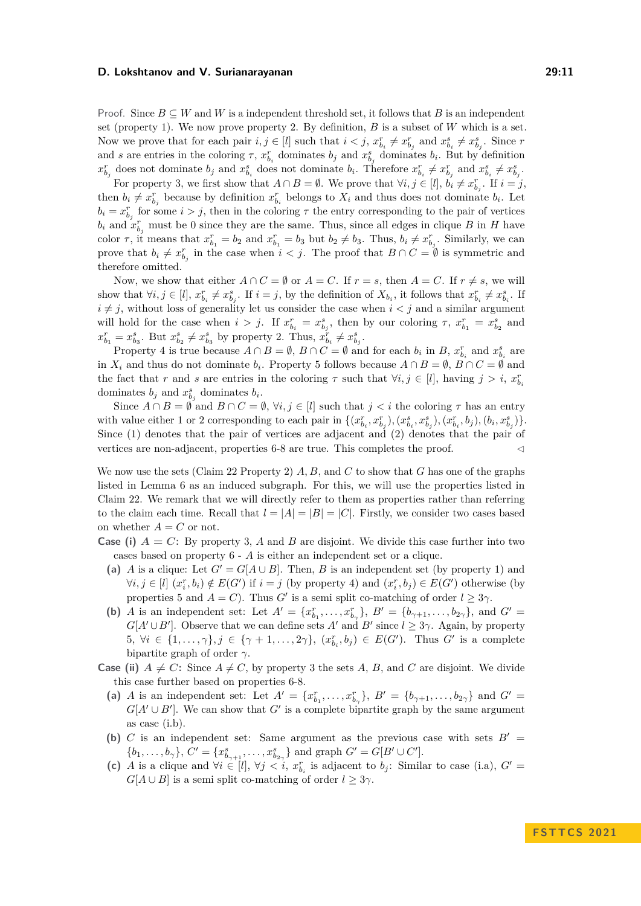Proof. Since  $B \subseteq W$  and W is a independent threshold set, it follows that B is an independent set (property 1). We now prove property 2. By definition,  $B$  is a subset of  $W$  which is a set. Now we prove that for each pair  $i, j \in [l]$  such that  $i < j$ ,  $x_{b_i}^r \neq x_{b_j}^r$  and  $x_{b_i}^s \neq x_{b_j}^s$ . Since r and *s* are entries in the coloring  $\tau$ ,  $x_{b_i}^r$  dominates  $b_j$  and  $x_{b_j}^s$  dominates  $b_i$ . But by definition  $x_{b_j}^r$  does not dominate  $b_j$  and  $x_{b_i}^s$  does not dominate  $b_i$ . Therefore  $x_{b_i}^r \neq x_{b_j}^r$  and  $x_{b_i}^s \neq x_{b_j}^s$ .

For property 3, we first show that  $A \cap B = \emptyset$ . We prove that  $\forall i, j \in [l], b_i \neq x_{b_j}^r$ . If  $i = j$ , then  $b_i \neq x_{b_j}^r$  because by definition  $x_{b_i}^r$  belongs to  $X_i$  and thus does not dominate  $b_i$ . Let  $b_i = x_{b_j}^r$  for some  $i > j$ , then in the coloring  $\tau$  the entry corresponding to the pair of vertices  $b_i$  and  $x_{b_j}^r$  must be 0 since they are the same. Thus, since all edges in clique *B* in *H* have color  $\tau$ , it means that  $x_{b_1}^r = b_2$  and  $x_{b_1}^r = b_3$  but  $b_2 \neq b_3$ . Thus,  $b_i \neq x_{b_j}^r$ . Similarly, we can prove that  $b_i \neq x_{b_j}^r$  in the case when  $i < j$ . The proof that  $B \cap C = \emptyset$  is symmetric and therefore omitted.

Now, we show that either  $A \cap C = \emptyset$  or  $A = C$ . If  $r = s$ , then  $A = C$ . If  $r \neq s$ , we will show that  $\forall i, j \in [l], x_{b_i}^r \neq x_{b_j}^s$ . If  $i = j$ , by the definition of  $X_{b_i}$ , it follows that  $x_{b_i}^r \neq x_{b_i}^s$ . If  $i \neq j$ , without loss of generality let us consider the case when  $i < j$  and a similar argument will hold for the case when  $i > j$ . If  $x_{b_i}^r = x_{b_j}^s$ , then by our coloring  $\tau$ ,  $x_{b_1}^r = x_{b_2}^s$  and  $x_{b_1}^r = x_{b_3}^s$ . But  $x_{b_2}^s \neq x_{b_3}^s$  by property 2. Thus,  $x_{b_i}^r \neq x_{b_j}^s$ .

Property 4 is true because  $A \cap B = \emptyset$ ,  $B \cap C = \emptyset$  and for each  $b_i$  in  $B$ ,  $x_{b_i}^r$  and  $x_{b_i}^s$  are in  $X_i$  and thus do not dominate  $b_i$ . Property 5 follows because  $A \cap B = \emptyset$ ,  $B \cap C = \emptyset$  and the fact that *r* and *s* are entries in the coloring  $\tau$  such that  $\forall i, j \in [l]$ , having  $j > i$ ,  $x_{b_i}^r$ dominates  $b_j$  and  $x_{b_j}^s$  dominates  $b_i$ .

Since  $A \cap B = \emptyset$  and  $B \cap C = \emptyset$ ,  $\forall i, j \in [l]$  such that  $j < i$  the coloring  $\tau$  has an entry with value either 1 or 2 corresponding to each pair in  $\{(x_{b_i}^r, x_{b_j}^r), (x_{b_i}^s, x_{b_j}^s), (x_{b_i}^r, b_j), (b_i, x_{b_j}^s)\}.$ Since (1) denotes that the pair of vertices are adjacent and (2) denotes that the pair of vertices are non-adjacent, properties  $6-8$  are true. This completes the proof.

We now use the sets (Claim [22](#page-9-2) Property 2) *A, B,* and *C* to show that *G* has one of the graphs listed in Lemma [6](#page-4-4) as an induced subgraph. For this, we will use the properties listed in Claim [22.](#page-9-2) We remark that we will directly refer to them as properties rather than referring to the claim each time. Recall that  $l = |A| = |B| = |C|$ . Firstly, we consider two cases based on whether  $A = C$  or not.

- **Case (i)**  $A = C$ : By property 3, A and B are disjoint. We divide this case further into two cases based on property 6 - *A* is either an independent set or a clique.
	- (a) *A* is a clique: Let  $G' = G[A \cup B]$ . Then, *B* is an independent set (by property 1) and  $\forall i, j \in [l]$   $(x_i^r, b_i) \notin E(G')$  if  $i = j$  (by property 4) and  $(x_i^r, b_j) \in E(G')$  otherwise (by properties 5 and  $A = C$ ). Thus  $G'$  is a semi split co-matching of order  $l \geq 3\gamma$ .
	- **(b)** *A* is an independent set: Let  $A' = \{x_{b_1}^r, \ldots, x_{b_{\gamma}}^r\}$ ,  $B' = \{b_{\gamma+1}, \ldots, b_{2\gamma}\}$ , and  $G' =$  $G[A' \cup B']$ . Observe that we can define sets *A'* and *B'* since  $l \geq 3\gamma$ . Again, by property  $5, \forall i \in \{1, \ldots, \gamma\}, j \in \{\gamma + 1, \ldots, 2\gamma\}, \ (x_{b_i}^r, b_j) \in E(G')$ . Thus  $G'$  is a complete bipartite graph of order *γ*.
- **Case (ii)**  $A \neq C$ : Since  $A \neq C$ , by property 3 the sets *A*, *B*, and *C* are disjoint. We divide this case further based on properties 6-8.
	- (a) *A* is an independent set: Let  $A' = \{x_{b_1}^r, \ldots, x_{b_{\gamma}}^r\}$ ,  $B' = \{b_{\gamma+1}, \ldots, b_{2\gamma}\}\$  and  $G' =$  $G[A' \cup B']$ . We can show that *G'* is a complete bipartite graph by the same argument as case (i.b).
	- **(b)** *C* is an independent set: Same argument as the previous case with sets  $B' =$  ${b_1, \ldots, b_\gamma}, C' = {x_{b_{\gamma+1}}^s, \ldots, x_{b_{2\gamma}}^s}$  and graph  $G' = G[B' \cup C']$ .
	- (c) *A* is a clique and  $\forall i \in [l], \forall j < i, x_{b_i}^r$  is adjacent to *b<sub>j</sub>*: Similar to case (i.a),  $G' =$  $G[A \cup B]$  is a semi split co-matching of order  $l \geq 3\gamma$ .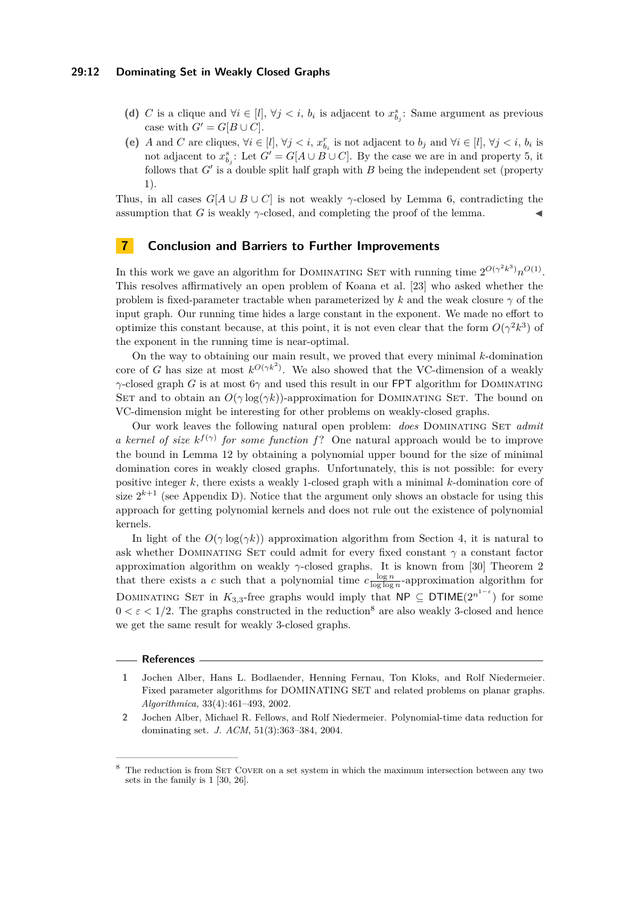### **29:12 Dominating Set in Weakly Closed Graphs**

- (d) *C* is a clique and  $\forall i \in [l], \forall j < i, b_i$  is adjacent to  $x_{b_j}^s$ : Same argument as previous case with  $G' = G[B \cup C]$ .
- (e) *A* and *C* are cliques,  $\forall i \in [l], \forall j < i$ ,  $x_{b_i}^r$  is not adjacent to  $b_j$  and  $\forall i \in [l], \forall j < i$ ,  $b_i$  is not adjacent to  $x_{b_j}^s$ : Let  $G' = G[A \cup B \cup C]$ . By the case we are in and property 5, it follows that  $G'$  is a double split half graph with  $B$  being the independent set (property 1).

Thus, in all cases  $G[A \cup B \cup C]$  is not weakly *γ*-closed by Lemma [6,](#page-4-4) contradicting the assumption that *G* is weakly  $\gamma$ -closed, and completing the proof of the lemma.

### **7 Conclusion and Barriers to Further Improvements**

In this work we gave an algorithm for DOMINATING SET with running time  $2^{O(\gamma^2 k^3)} n^{O(1)}$ . This resolves affirmatively an open problem of Koana et al. [\[23\]](#page-13-4) who asked whether the problem is fixed-parameter tractable when parameterized by  $k$  and the weak closure  $\gamma$  of the input graph. Our running time hides a large constant in the exponent. We made no effort to optimize this constant because, at this point, it is not even clear that the form  $O(\gamma^2 k^3)$  of the exponent in the running time is near-optimal.

On the way to obtaining our main result, we proved that every minimal *k*-domination core of *G* has size at most  $k^{O(\gamma k^2)}$ . We also showed that the VC-dimension of a weakly *γ*-closed graph *G* is at most 6*γ* and used this result in our FPT algorithm for DOMINATING SET and to obtain an  $O(\gamma \log(\gamma k))$ -approximation for DOMINATING SET. The bound on VC-dimension might be interesting for other problems on weakly-closed graphs.

Our work leaves the following natural open problem: *does* Dominating Set *admit a kernel of size*  $k^{f(\gamma)}$  *for some function*  $f$ ? One natural approach would be to improve the bound in Lemma [12](#page-6-1) by obtaining a polynomial upper bound for the size of minimal domination cores in weakly closed graphs. Unfortunately, this is not possible: for every positive integer *k*, there exists a weakly 1-closed graph with a minimal *k*-domination core of size  $2^{k+1}$  (see Appendix [D\)](#page-16-0). Notice that the argument only shows an obstacle for using this approach for getting polynomial kernels and does not rule out the existence of polynomial kernels.

In light of the  $O(\gamma \log(\gamma k))$  approximation algorithm from Section [4,](#page-4-0) it is natural to ask whether Dominating Set could admit for every fixed constant *γ* a constant factor approximation algorithm on weakly *γ*-closed graphs. It is known from [\[30\]](#page-13-11) Theorem 2 that there exists a *c* such that a polynomial time  $c \frac{\log n}{\log \log n}$ -approximation algorithm for DOMINATING SET in  $K_{3,3}$ -free graphs would imply that  $\mathsf{NP} \subseteq \mathsf{DTIME}(2^{n^{1-\varepsilon}})$  for some  $0 < \varepsilon < 1/2$ . The graphs constructed in the reduction<sup>[8](#page-11-2)</sup> are also weakly 3-closed and hence we get the same result for weakly 3-closed graphs.

#### **References**

- <span id="page-11-0"></span>**1** Jochen Alber, Hans L. Bodlaender, Henning Fernau, Ton Kloks, and Rolf Niedermeier. Fixed parameter algorithms for DOMINATING SET and related problems on planar graphs. *Algorithmica*, 33(4):461–493, 2002.
- <span id="page-11-1"></span>**2** Jochen Alber, Michael R. Fellows, and Rolf Niedermeier. Polynomial-time data reduction for dominating set. *J. ACM*, 51(3):363–384, 2004.

<span id="page-11-2"></span>The reduction is from SET COVER on a set system in which the maximum intersection between any two sets in the family is 1 [\[30,](#page-13-11) [26\]](#page-13-12).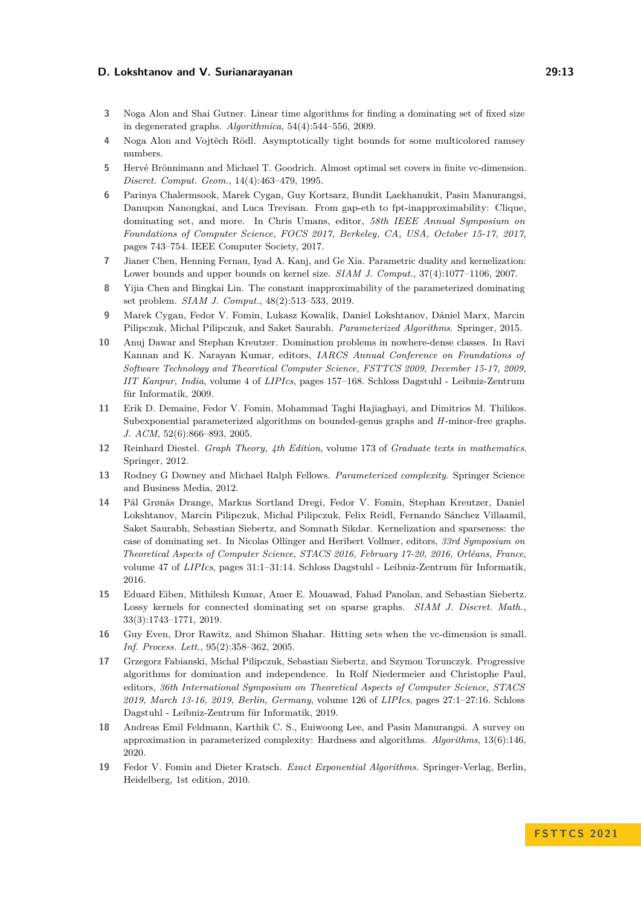- <span id="page-12-10"></span>**3** Noga Alon and Shai Gutner. Linear time algorithms for finding a dominating set of fixed size in degenerated graphs. *Algorithmica*, 54(4):544–556, 2009.
- <span id="page-12-13"></span>**4** Noga Alon and Vojtěch Rödl. Asymptotically tight bounds for some multicolored ramsey numbers.
- <span id="page-12-14"></span>**5** Hervé Brönnimann and Michael T. Goodrich. Almost optimal set covers in finite vc-dimension. *Discret. Comput. Geom.*, 14(4):463–479, 1995.
- <span id="page-12-3"></span>**6** Parinya Chalermsook, Marek Cygan, Guy Kortsarz, Bundit Laekhanukit, Pasin Manurangsi, Danupon Nanongkai, and Luca Trevisan. From gap-eth to fpt-inapproximability: Clique, dominating set, and more. In Chris Umans, editor, *58th IEEE Annual Symposium on Foundations of Computer Science, FOCS 2017, Berkeley, CA, USA, October 15-17, 2017*, pages 743–754. IEEE Computer Society, 2017.
- <span id="page-12-6"></span>**7** Jianer Chen, Henning Fernau, Iyad A. Kanj, and Ge Xia. Parametric duality and kernelization: Lower bounds and upper bounds on kernel size. *SIAM J. Comput.*, 37(4):1077–1106, 2007.
- <span id="page-12-4"></span>**8** Yijia Chen and Bingkai Lin. The constant inapproximability of the parameterized dominating set problem. *SIAM J. Comput.*, 48(2):513–533, 2019.
- <span id="page-12-0"></span>**9** Marek Cygan, Fedor V. Fomin, Lukasz Kowalik, Daniel Lokshtanov, Dániel Marx, Marcin Pilipczuk, Michal Pilipczuk, and Saket Saurabh. *Parameterized Algorithms*. Springer, 2015.
- <span id="page-12-8"></span>**10** Anuj Dawar and Stephan Kreutzer. Domination problems in nowhere-dense classes. In Ravi Kannan and K. Narayan Kumar, editors, *IARCS Annual Conference on Foundations of Software Technology and Theoretical Computer Science, FSTTCS 2009, December 15-17, 2009, IIT Kanpur, India*, volume 4 of *LIPIcs*, pages 157–168. Schloss Dagstuhl - Leibniz-Zentrum für Informatik, 2009.
- <span id="page-12-7"></span>**11** Erik D. Demaine, Fedor V. Fomin, Mohammad Taghi Hajiaghayi, and Dimitrios M. Thilikos. Subexponential parameterized algorithms on bounded-genus graphs and *H*-minor-free graphs. *J. ACM*, 52(6):866–893, 2005.
- <span id="page-12-16"></span>**12** Reinhard Diestel. *Graph Theory, 4th Edition*, volume 173 of *Graduate texts in mathematics*. Springer, 2012.
- <span id="page-12-1"></span>**13** Rodney G Downey and Michael Ralph Fellows. *Parameterized complexity*. Springer Science and Business Media, 2012.
- <span id="page-12-9"></span>**14** Pål Grønås Drange, Markus Sortland Dregi, Fedor V. Fomin, Stephan Kreutzer, Daniel Lokshtanov, Marcin Pilipczuk, Michal Pilipczuk, Felix Reidl, Fernando Sánchez Villaamil, Saket Saurabh, Sebastian Siebertz, and Somnath Sikdar. Kernelization and sparseness: the case of dominating set. In Nicolas Ollinger and Heribert Vollmer, editors, *33rd Symposium on Theoretical Aspects of Computer Science, STACS 2016, February 17-20, 2016, Orléans, France*, volume 47 of *LIPIcs*, pages 31:1–31:14. Schloss Dagstuhl - Leibniz-Zentrum für Informatik, 2016.
- <span id="page-12-12"></span>**15** Eduard Eiben, Mithilesh Kumar, Amer E. Mouawad, Fahad Panolan, and Sebastian Siebertz. Lossy kernels for connected dominating set on sparse graphs. *SIAM J. Discret. Math.*, 33(3):1743–1771, 2019.
- <span id="page-12-15"></span>**16** Guy Even, Dror Rawitz, and Shimon Shahar. Hitting sets when the vc-dimension is small. *Inf. Process. Lett.*, 95(2):358–362, 2005.
- <span id="page-12-11"></span>**17** Grzegorz Fabianski, Michal Pilipczuk, Sebastian Siebertz, and Szymon Torunczyk. Progressive algorithms for domination and independence. In Rolf Niedermeier and Christophe Paul, editors, *36th International Symposium on Theoretical Aspects of Computer Science, STACS 2019, March 13-16, 2019, Berlin, Germany*, volume 126 of *LIPIcs*, pages 27:1–27:16. Schloss Dagstuhl - Leibniz-Zentrum für Informatik, 2019.
- <span id="page-12-5"></span>**18** Andreas Emil Feldmann, Karthik C. S., Euiwoong Lee, and Pasin Manurangsi. A survey on approximation in parameterized complexity: Hardness and algorithms. *Algorithms*, 13(6):146, 2020.
- <span id="page-12-2"></span>**19** Fedor V. Fomin and Dieter Kratsch. *Exact Exponential Algorithms*. Springer-Verlag, Berlin, Heidelberg, 1st edition, 2010.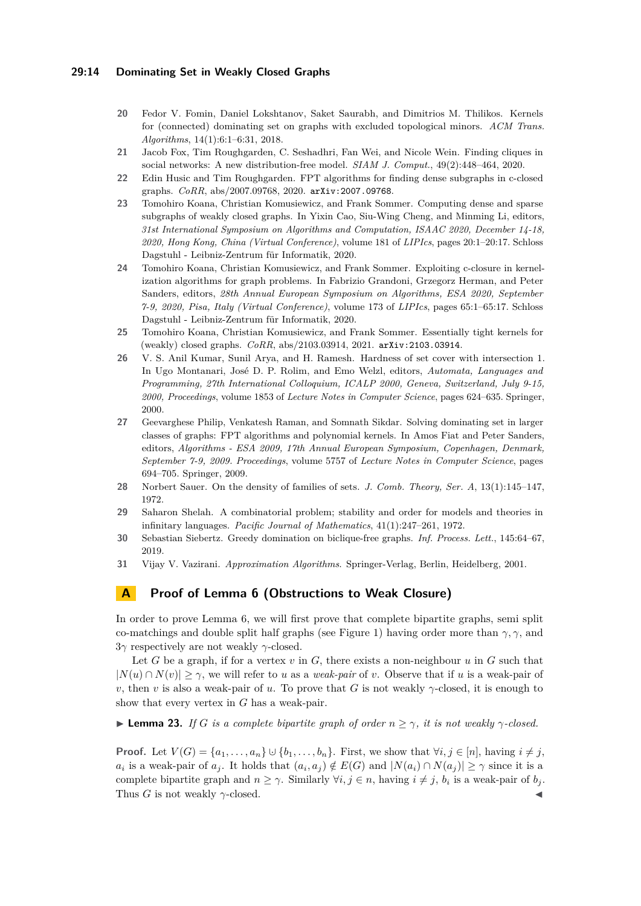### **29:14 Dominating Set in Weakly Closed Graphs**

- <span id="page-13-1"></span>**20** Fedor V. Fomin, Daniel Lokshtanov, Saket Saurabh, and Dimitrios M. Thilikos. Kernels for (connected) dominating set on graphs with excluded topological minors. *ACM Trans. Algorithms*, 14(1):6:1–6:31, 2018.
- <span id="page-13-3"></span>**21** Jacob Fox, Tim Roughgarden, C. Seshadhri, Fan Wei, and Nicole Wein. Finding cliques in social networks: A new distribution-free model. *SIAM J. Comput.*, 49(2):448–464, 2020.
- <span id="page-13-6"></span>**22** Edin Husic and Tim Roughgarden. FPT algorithms for finding dense subgraphs in c-closed graphs. *CoRR*, abs/2007.09768, 2020. [arXiv:2007.09768](http://arxiv.org/abs/2007.09768).
- <span id="page-13-4"></span>**23** Tomohiro Koana, Christian Komusiewicz, and Frank Sommer. Computing dense and sparse subgraphs of weakly closed graphs. In Yixin Cao, Siu-Wing Cheng, and Minming Li, editors, *31st International Symposium on Algorithms and Computation, ISAAC 2020, December 14-18, 2020, Hong Kong, China (Virtual Conference)*, volume 181 of *LIPIcs*, pages 20:1–20:17. Schloss Dagstuhl - Leibniz-Zentrum für Informatik, 2020.
- <span id="page-13-5"></span>**24** Tomohiro Koana, Christian Komusiewicz, and Frank Sommer. Exploiting c-closure in kernelization algorithms for graph problems. In Fabrizio Grandoni, Grzegorz Herman, and Peter Sanders, editors, *28th Annual European Symposium on Algorithms, ESA 2020, September 7-9, 2020, Pisa, Italy (Virtual Conference)*, volume 173 of *LIPIcs*, pages 65:1–65:17. Schloss Dagstuhl - Leibniz-Zentrum für Informatik, 2020.
- <span id="page-13-7"></span>**25** Tomohiro Koana, Christian Komusiewicz, and Frank Sommer. Essentially tight kernels for (weakly) closed graphs. *CoRR*, abs/2103.03914, 2021. [arXiv:2103.03914](http://arxiv.org/abs/2103.03914).
- <span id="page-13-12"></span>**26** V. S. Anil Kumar, Sunil Arya, and H. Ramesh. Hardness of set cover with intersection 1. In Ugo Montanari, José D. P. Rolim, and Emo Welzl, editors, *Automata, Languages and Programming, 27th International Colloquium, ICALP 2000, Geneva, Switzerland, July 9-15, 2000, Proceedings*, volume 1853 of *Lecture Notes in Computer Science*, pages 624–635. Springer, 2000.
- <span id="page-13-2"></span>**27** Geevarghese Philip, Venkatesh Raman, and Somnath Sikdar. Solving dominating set in larger classes of graphs: FPT algorithms and polynomial kernels. In Amos Fiat and Peter Sanders, editors, *Algorithms - ESA 2009, 17th Annual European Symposium, Copenhagen, Denmark, September 7-9, 2009. Proceedings*, volume 5757 of *Lecture Notes in Computer Science*, pages 694–705. Springer, 2009.
- <span id="page-13-8"></span>**28** Norbert Sauer. On the density of families of sets. *J. Comb. Theory, Ser. A*, 13(1):145–147, 1972.
- <span id="page-13-9"></span>**29** Saharon Shelah. A combinatorial problem; stability and order for models and theories in infinitary languages. *Pacific Journal of Mathematics*, 41(1):247–261, 1972.
- <span id="page-13-11"></span>**30** Sebastian Siebertz. Greedy domination on biclique-free graphs. *Inf. Process. Lett.*, 145:64–67, 2019.
- <span id="page-13-0"></span>**31** Vijay V. Vazirani. *Approximation Algorithms*. Springer-Verlag, Berlin, Heidelberg, 2001.

# <span id="page-13-10"></span>**A Proof of Lemma [6](#page-4-4) (Obstructions to Weak Closure)**

In order to prove Lemma [6,](#page-4-4) we will first prove that complete bipartite graphs, semi split co-matchings and double split half graphs (see Figure [1\)](#page-14-0) having order more than *γ, γ,* and 3*γ* respectively are not weakly *γ*-closed.

Let *G* be a graph, if for a vertex *v* in *G*, there exists a non-neighbour *u* in *G* such that  $|N(u) \cap N(v)| \geq \gamma$ , we will refer to *u* as a *weak-pair* of *v*. Observe that if *u* is a weak-pair of *v*, then *v* is also a weak-pair of *u*. To prove that *G* is not weakly  $\gamma$ -closed, it is enough to show that every vertex in *G* has a weak-pair.

 $\blacktriangleright$  **Lemma 23.** *If G is a complete bipartite graph of order*  $n \geq \gamma$ *, it is not weakly*  $\gamma$ *-closed.* 

**Proof.** Let  $V(G) = \{a_1, \ldots, a_n\} \cup \{b_1, \ldots, b_n\}$ . First, we show that  $\forall i, j \in [n]$ , having  $i \neq j$ , *a*<sub>*i*</sub> is a weak-pair of *a*<sub>*j*</sub>. It holds that  $(a_i, a_j) \notin E(G)$  and  $|N(a_i) \cap N(a_j)| \geq \gamma$  since it is a complete bipartite graph and  $n \geq \gamma$ . Similarly  $\forall i, j \in n$ , having  $i \neq j$ ,  $b_i$  is a weak-pair of  $b_j$ . Thus *G* is not weakly  $\gamma$ -closed.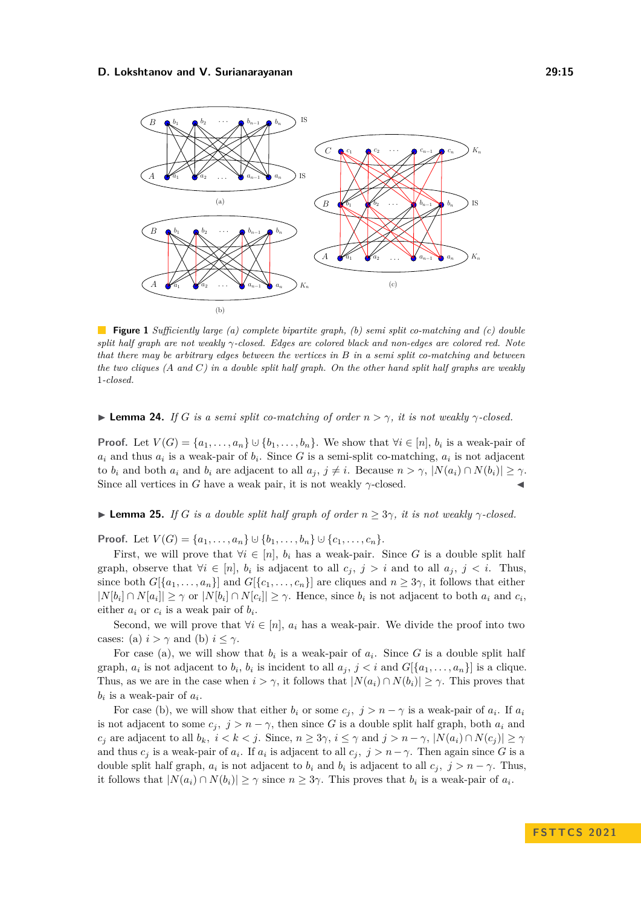<span id="page-14-0"></span>

**Figure 1** *Sufficiently large (a) complete bipartite graph, (b) semi split co-matching and (c) double split half graph are not weakly γ-closed. Edges are colored black and non-edges are colored red. Note that there may be arbitrary edges between the vertices in B in a semi split co-matching and between the two cliques (A and C) in a double split half graph. On the other hand split half graphs are weakly* 1*-closed.*

 $\blacktriangleright$  **Lemma 24.** *If G is a semi split co-matching of order*  $n > \gamma$ *, it is not weakly*  $\gamma$ -closed.

**Proof.** Let  $V(G) = \{a_1, \ldots, a_n\} \cup \{b_1, \ldots, b_n\}$ . We show that  $\forall i \in [n], b_i$  is a weak-pair of  $a_i$  and thus  $a_i$  is a weak-pair of  $b_i$ . Since *G* is a semi-split co-matching,  $a_i$  is not adjacent to *b<sub>i</sub>* and both  $a_i$  and  $b_i$  are adjacent to all  $a_j$ ,  $j \neq i$ . Because  $n > \gamma$ ,  $|N(a_i) \cap N(b_i)| \geq \gamma$ . Since all vertices in *G* have a weak pair, it is not weakly  $\gamma$ -closed.  $\blacktriangleleft$ 

 $\blacktriangleright$  **Lemma 25.** *If G is a double split half graph of order*  $n \geq 3\gamma$ *, it is not weakly*  $\gamma$ *-closed.* 

**Proof.** Let  $V(G) = \{a_1, \ldots, a_n\} \cup \{b_1, \ldots, b_n\} \cup \{c_1, \ldots, c_n\}.$ 

First, we will prove that  $\forall i \in [n]$ ,  $b_i$  has a weak-pair. Since G is a double split half graph, observe that  $\forall i \in [n]$ ,  $b_i$  is adjacent to all  $c_j$ ,  $j > i$  and to all  $a_j$ ,  $j < i$ . Thus, since both  $G[\{a_1, \ldots, a_n\}]$  and  $G[\{c_1, \ldots, c_n\}]$  are cliques and  $n \geq 3\gamma$ , it follows that either  $|N[b_i] \cap N[a_i]| \geq \gamma$  or  $|N[b_i] \cap N[c_i]| \geq \gamma$ . Hence, since  $b_i$  is not adjacent to both  $a_i$  and  $c_i$ , either  $a_i$  or  $c_i$  is a weak pair of  $b_i$ .

Second, we will prove that  $\forall i \in [n]$ ,  $a_i$  has a weak-pair. We divide the proof into two cases: (a)  $i > \gamma$  and (b)  $i \leq \gamma$ .

For case (a), we will show that  $b_i$  is a weak-pair of  $a_i$ . Since G is a double split half graph,  $a_i$  is not adjacent to  $b_i$ ,  $b_i$  is incident to all  $a_j$ ,  $j < i$  and  $G[\{a_1, \ldots, a_n\}]$  is a clique. Thus, as we are in the case when  $i > \gamma$ , it follows that  $|N(a_i) \cap N(b_i)| \geq \gamma$ . This proves that  $b_i$  is a weak-pair of  $a_i$ .

For case (b), we will show that either  $b_i$  or some  $c_j$ ,  $j > n - \gamma$  is a weak-pair of  $a_i$ . If  $a_i$ is not adjacent to some  $c_j$ ,  $j > n - \gamma$ , then since G is a double split half graph, both  $a_i$  and *c*<sub>*j*</sub> are adjacent to all  $b_k$ ,  $i < k < j$ . Since,  $n \geq 3\gamma$ ,  $i \leq \gamma$  and  $j > n - \gamma$ ,  $|N(a_i) \cap N(c_j)| \geq \gamma$ and thus  $c_j$  is a weak-pair of  $a_i$ . If  $a_i$  is adjacent to all  $c_j$ ,  $j > n - \gamma$ . Then again since *G* is a double split half graph,  $a_i$  is not adjacent to  $b_i$  and  $b_i$  is adjacent to all  $c_j$ ,  $j > n - \gamma$ . Thus, it follows that  $|N(a_i) \cap N(b_i)| \geq \gamma$  since  $n \geq 3\gamma$ . This proves that  $b_i$  is a weak-pair of  $a_i$ .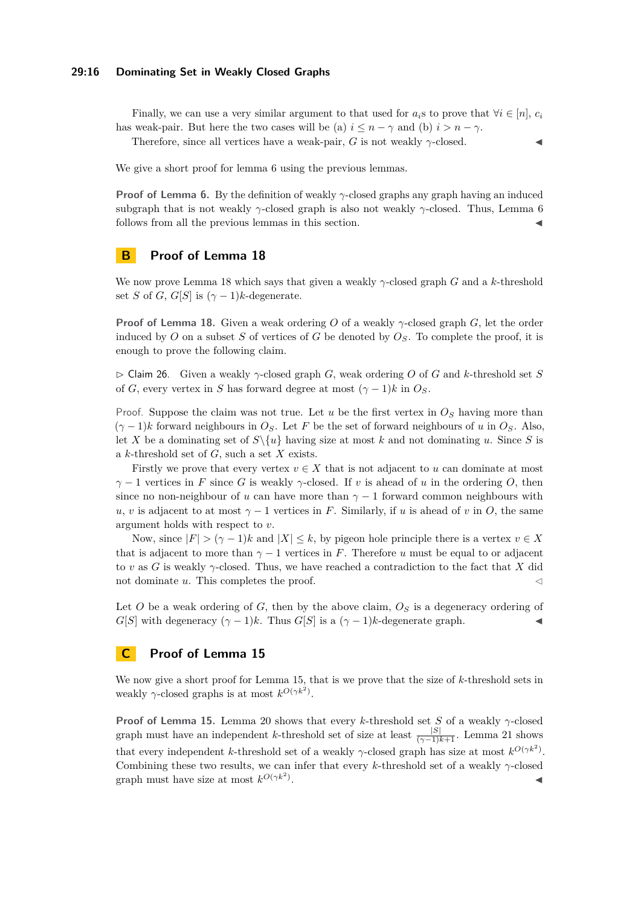### **29:16 Dominating Set in Weakly Closed Graphs**

Finally, we can use a very similar argument to that used for  $a_i$ s to prove that  $\forall i \in [n], c_i$ has weak-pair. But here the two cases will be (a)  $i \leq n - \gamma$  and (b)  $i > n - \gamma$ .

Therefore, since all vertices have a weak-pair,  $G$  is not weakly  $\gamma$ -closed.

We give a short proof for lemma [6](#page-4-4) using the previous lemmas.

**Proof of Lemma [6.](#page-4-4)** By the definition of weakly *γ*-closed graphs any graph having an induced subgraph that is not weakly *γ*-closed graph is also not weakly *γ*-closed. Thus, Lemma [6](#page-4-4) follows from all the previous lemmas in this section.

## <span id="page-15-0"></span>**B Proof of Lemma [18](#page-8-4)**

We now prove Lemma [18](#page-8-4) which says that given a weakly *γ*-closed graph *G* and a *k*-threshold set *S* of *G*, *G*[*S*] is  $(\gamma - 1)k$ -degenerate.

**Proof of Lemma [18.](#page-8-4)** Given a weak ordering *O* of a weakly *γ*-closed graph *G*, let the order induced by  $O$  on a subset  $S$  of vertices of  $G$  be denoted by  $O_S$ . To complete the proof, it is enough to prove the following claim.

▷ Claim 26. Given a weakly *γ*-closed graph *G*, weak ordering *O* of *G* and *k*-threshold set *S* of *G*, every vertex in *S* has forward degree at most  $(\gamma - 1)k$  in  $O_S$ .

Proof. Suppose the claim was not true. Let  $u$  be the first vertex in  $O<sub>S</sub>$  having more than  $(\gamma - 1)k$  forward neighbours in  $O_S$ . Let *F* be the set of forward neighbours of *u* in  $O_S$ . Also, let *X* be a dominating set of  $S\setminus\{u\}$  having size at most *k* and not dominating *u*. Since *S* is a *k*-threshold set of *G*, such a set *X* exists.

Firstly we prove that every vertex  $v \in X$  that is not adjacent to *u* can dominate at most  $\gamma$  − 1 vertices in *F* since *G* is weakly  $\gamma$ -closed. If *v* is ahead of *u* in the ordering *O*, then since no non-neighbour of *u* can have more than  $\gamma - 1$  forward common neighbours with *u*, *v* is adjacent to at most  $\gamma - 1$  vertices in *F*. Similarly, if *u* is ahead of *v* in *O*, the same argument holds with respect to *v*.

Now, since  $|F| > (\gamma - 1)k$  and  $|X| \leq k$ , by pigeon hole principle there is a vertex  $v \in X$ that is adjacent to more than  $\gamma - 1$  vertices in *F*. Therefore *u* must be equal to or adjacent to *v* as *G* is weakly *γ*-closed. Thus, we have reached a contradiction to the fact that *X* did not dominate  $u$ . This completes the proof.  $\triangleleft$ 

Let *O* be a weak ordering of *G*, then by the above claim, *O<sup>S</sup>* is a degeneracy ordering of *G*[*S*] with degeneracy  $(\gamma - 1)k$ . Thus *G*[*S*] is a  $(\gamma - 1)k$ -degenerate graph.

# <span id="page-15-1"></span>**C Proof of Lemma [15](#page-7-0)**

We now give a short proof for Lemma [15,](#page-7-0) that is we prove that the size of *k*-threshold sets in weakly  $\gamma$ -closed graphs is at most  $k^{O(\gamma k^2)}$ .

**Proof of Lemma [15.](#page-7-0)** Lemma [20](#page-8-5) shows that every *k*-threshold set *S* of a weakly *γ*-closed graph must have an independent *k*-threshold set of size at least  $\frac{|S|}{(\gamma - 1)k + 1}$ . Lemma [21](#page-8-2) shows that every independent *k*-threshold set of a weakly *γ*-closed graph has size at most  $k^{O(\gamma k^2)}$ . Combining these two results, we can infer that every *k*-threshold set of a weakly *γ*-closed graph must have size at most  $k^{O(\gamma k^2)}$ . ◀